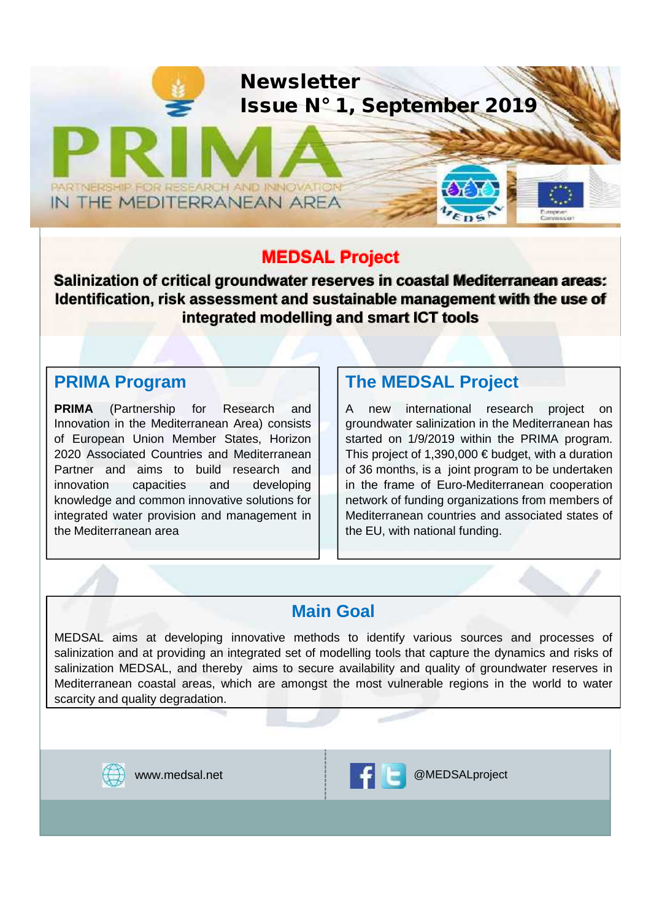

#### **MEDSAL Project**

**Salinization of critical groundwater reserves in coastal Mediterranean areas: Identification, risk assessment and sustainable management with the use of integrated modelling and smart ICT tools**

#### **PRIMA Program**

**PRIMA** (Partnership for Research and Innovation in the Mediterranean Area) consists of European Union Member States, Horizon 2020 Associated Countries and Mediterranean Partner and aims to build research and innovation capacities and developing knowledge and common innovative solutions for integrated water provision and management in the Mediterranean area

### **The MEDSAL Project**

A new international research project on groundwater salinization in the Mediterranean has started on 1/9/2019 within the PRIMA program. This project of 1,390,000  $\epsilon$  budget, with a duration of 36 months, is a joint program to be undertaken in the frame of Euro-Mediterranean cooperation network of funding organizations from members of Mediterranean countries and associated states of the EU, with national funding.

#### **Main Goal**

MEDSAL aims at developing innovative methods to identify various sources and processes of salinization and at providing an integrated set of modelling tools that capture the dynamics and risks of salinization MEDSAL, and thereby aims to secure availability and quality of groundwater reserves in Mediterranean coastal areas, which are amongst the most vulnerable regions in the world to water scarcity and quality degradation.



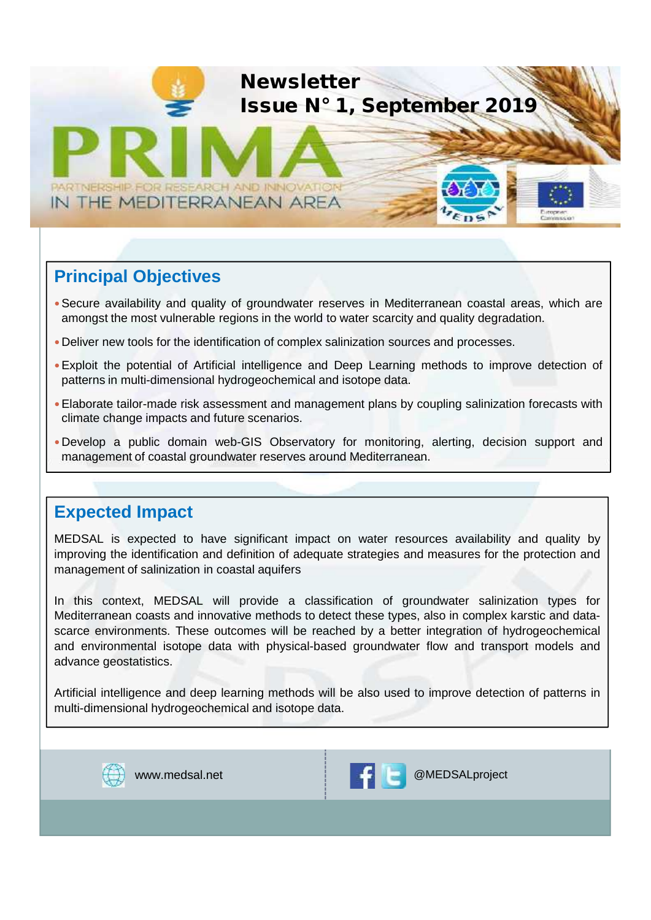

#### **Principal Objectives**

- Secure availability and quality of groundwater reserves in Mediterranean coastal areas, which are amongst the most vulnerable regions in the world to water scarcity and quality degradation.
- Deliver new tools for the identification of complex salinization sources and processes.
- Exploit the potential of Artificial intelligence and Deep Learning methods to improve detection of patterns in multi-dimensional hydrogeochemical and isotope data.
- Elaborate tailor-made risk assessment and management plans by coupling salinization forecasts with climate change impacts and future scenarios.
- Develop a public domain web-GIS Observatory for monitoring, alerting, decision support and management of coastal groundwater reserves around Mediterranean.

#### **Expected Impact**

MEDSAL is expected to have significant impact on water resources availability and quality by improving the identification and definition of adequate strategies and measures for the protection and management of salinization in coastal aquifers

In this context, MEDSAL will provide a classification of groundwater salinization types for Mediterranean coasts and innovative methods to detect these types, also in complex karstic and data scarce environments. These outcomes will be reached by a better integration of hydrogeochemical and environmental isotope data with physical-based groundwater flow and transport models and advance geostatistics.

Artificial intelligence and deep learning methods will be also used to improve detection of patterns in multi-dimensional hydrogeochemical and isotope data.



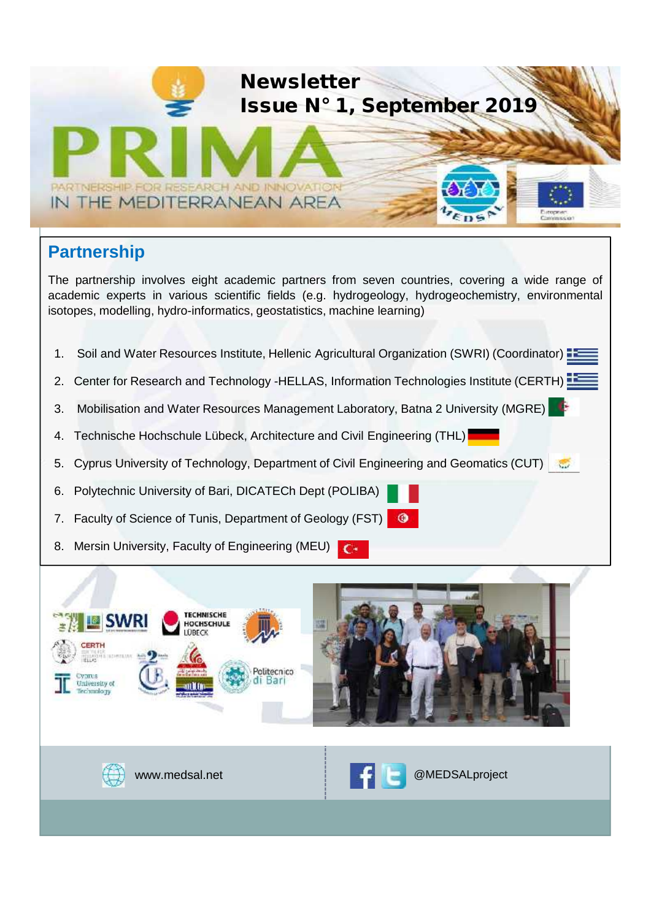

# **Partnership**

The partnership involves eight academic partners from seven countries, covering a wide range of academic experts in various scientific fields (e.g. hydrogeology, hydrogeochemistry, environmental isotopes, modelling, hydro-informatics, geostatistics, machine learning)

- 1. Soil and Water Resources Institute, Hellenic Agricultural Organization (SWRI) (Coordinator) **25**
- 2. Center for Research and Technology -HELLAS, Information Technologies Institute (CERTH)
- 3. Mobilisation and Water Resources Management Laboratory, Batna 2 University (MGRE)
- 4. Technische Hochschule Lübeck, Architecture and Civil Engineering (THL)
- 5. Cyprus University of Technology, Department of Civil Engineering and Geomatics (CUT)
- 6. Polytechnic University of Bari, DICATECh Dept (POLIBA)
- 7. Faculty of Science of Tunis, Department of Geology (FST)
- 8. Mersin University, Faculty of Engineering (MEU)